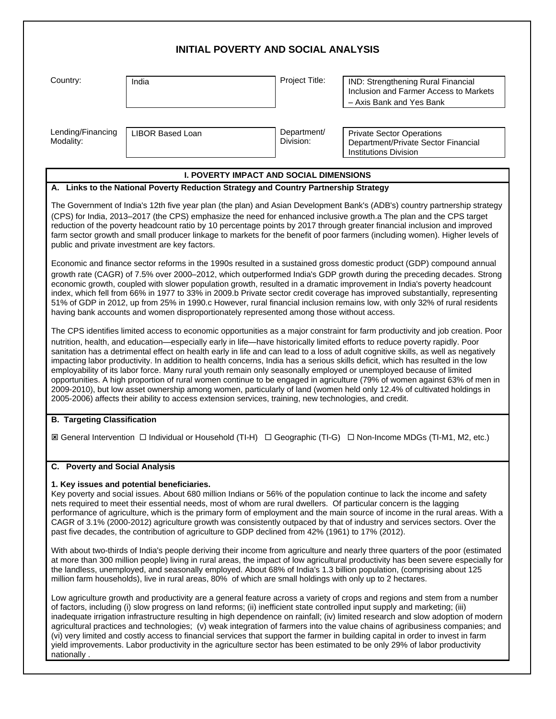| <b>INITIAL POVERTY AND SOCIAL ANALYSIS</b> |                                                                                                                                                                                                                                                                                                                                                                                                                                                                                                             |                          |                                                                                                                                                                                                                                                                                                                                                                                                                                                                                                                                                                                                                                                                                                                                                                                                                                                                                                                                                                                                                                                                                                                                                                                                                                                                                                                                                                                                                                                                                                                                                                        |
|--------------------------------------------|-------------------------------------------------------------------------------------------------------------------------------------------------------------------------------------------------------------------------------------------------------------------------------------------------------------------------------------------------------------------------------------------------------------------------------------------------------------------------------------------------------------|--------------------------|------------------------------------------------------------------------------------------------------------------------------------------------------------------------------------------------------------------------------------------------------------------------------------------------------------------------------------------------------------------------------------------------------------------------------------------------------------------------------------------------------------------------------------------------------------------------------------------------------------------------------------------------------------------------------------------------------------------------------------------------------------------------------------------------------------------------------------------------------------------------------------------------------------------------------------------------------------------------------------------------------------------------------------------------------------------------------------------------------------------------------------------------------------------------------------------------------------------------------------------------------------------------------------------------------------------------------------------------------------------------------------------------------------------------------------------------------------------------------------------------------------------------------------------------------------------------|
| Country:                                   | India                                                                                                                                                                                                                                                                                                                                                                                                                                                                                                       | Project Title:           | IND: Strengthening Rural Financial<br>Inclusion and Farmer Access to Markets<br>- Axis Bank and Yes Bank                                                                                                                                                                                                                                                                                                                                                                                                                                                                                                                                                                                                                                                                                                                                                                                                                                                                                                                                                                                                                                                                                                                                                                                                                                                                                                                                                                                                                                                               |
| Lending/Financing<br>Modality:             | <b>LIBOR Based Loan</b>                                                                                                                                                                                                                                                                                                                                                                                                                                                                                     | Department/<br>Division: | <b>Private Sector Operations</b><br>Department/Private Sector Financial<br><b>Institutions Division</b>                                                                                                                                                                                                                                                                                                                                                                                                                                                                                                                                                                                                                                                                                                                                                                                                                                                                                                                                                                                                                                                                                                                                                                                                                                                                                                                                                                                                                                                                |
|                                            | <b>I. POVERTY IMPACT AND SOCIAL DIMENSIONS</b>                                                                                                                                                                                                                                                                                                                                                                                                                                                              |                          |                                                                                                                                                                                                                                                                                                                                                                                                                                                                                                                                                                                                                                                                                                                                                                                                                                                                                                                                                                                                                                                                                                                                                                                                                                                                                                                                                                                                                                                                                                                                                                        |
|                                            | A. Links to the National Poverty Reduction Strategy and Country Partnership Strategy                                                                                                                                                                                                                                                                                                                                                                                                                        |                          |                                                                                                                                                                                                                                                                                                                                                                                                                                                                                                                                                                                                                                                                                                                                                                                                                                                                                                                                                                                                                                                                                                                                                                                                                                                                                                                                                                                                                                                                                                                                                                        |
|                                            | public and private investment are key factors.<br>having bank accounts and women disproportionately represented among those without access.<br>nutrition, health, and education—especially early in life—have historically limited efforts to reduce poverty rapidly. Poor<br>employability of its labor force. Many rural youth remain only seasonally employed or unemployed because of limited<br>2005-2006) affects their ability to access extension services, training, new technologies, and credit. |                          | reduction of the poverty headcount ratio by 10 percentage points by 2017 through greater financial inclusion and improved<br>farm sector growth and small producer linkage to markets for the benefit of poor farmers (including women). Higher levels of<br>Economic and finance sector reforms in the 1990s resulted in a sustained gross domestic product (GDP) compound annual<br>growth rate (CAGR) of 7.5% over 2000–2012, which outperformed India's GDP growth during the preceding decades. Strong<br>economic growth, coupled with slower population growth, resulted in a dramatic improvement in India's poverty headcount<br>index, which fell from 66% in 1977 to 33% in 2009.b Private sector credit coverage has improved substantially, representing<br>51% of GDP in 2012, up from 25% in 1990.c However, rural financial inclusion remains low, with only 32% of rural residents<br>The CPS identifies limited access to economic opportunities as a major constraint for farm productivity and job creation. Poor<br>sanitation has a detrimental effect on health early in life and can lead to a loss of adult cognitive skills, as well as negatively<br>impacting labor productivity. In addition to health concerns, India has a serious skills deficit, which has resulted in the low<br>opportunities. A high proportion of rural women continue to be engaged in agriculture (79% of women against 63% of men in<br>2009-2010), but low asset ownership among women, particularly of land (women held only 12.4% of cultivated holdings in |
| <b>B. Targeting Classification</b>         |                                                                                                                                                                                                                                                                                                                                                                                                                                                                                                             |                          | IS General Intervention □ Individual or Household (TI-H) □ Geographic (TI-G) □ Non-Income MDGs (TI-M1, M2, etc.)                                                                                                                                                                                                                                                                                                                                                                                                                                                                                                                                                                                                                                                                                                                                                                                                                                                                                                                                                                                                                                                                                                                                                                                                                                                                                                                                                                                                                                                       |
| C. Poverty and Social Analysis             | 1. Key issues and potential beneficiaries.<br>nets required to meet their essential needs, most of whom are rural dwellers. Of particular concern is the lagging<br>past five decades, the contribution of agriculture to GDP declined from 42% (1961) to 17% (2012).<br>million farm households), live in rural areas, 80% of which are small holdings with only up to 2 hectares.                                                                                                                         |                          | Key poverty and social issues. About 680 million Indians or 56% of the population continue to lack the income and safety<br>performance of agriculture, which is the primary form of employment and the main source of income in the rural areas. With a<br>CAGR of 3.1% (2000-2012) agriculture growth was consistently outpaced by that of industry and services sectors. Over the<br>With about two-thirds of India's people deriving their income from agriculture and nearly three quarters of the poor (estimated<br>at more than 300 million people) living in rural areas, the impact of low agricultural productivity has been severe especially for<br>the landless, unemployed, and seasonally employed. About 68% of India's 1.3 billion population, (comprising about 125<br>Low agriculture growth and productivity are a general feature across a variety of crops and regions and stem from a number                                                                                                                                                                                                                                                                                                                                                                                                                                                                                                                                                                                                                                                   |
|                                            | of factors, including (i) slow progress on land reforms; (ii) inefficient state controlled input supply and marketing; (iii)                                                                                                                                                                                                                                                                                                                                                                                |                          | inadappear intension infractructure resulting in high dependence on rainfall: (iv) limited research and slow adoption of modern                                                                                                                                                                                                                                                                                                                                                                                                                                                                                                                                                                                                                                                                                                                                                                                                                                                                                                                                                                                                                                                                                                                                                                                                                                                                                                                                                                                                                                        |

inadequate irrigation infrastructure resulting in high dependence on rainfall; (iv) limited research and slow adoption of modern agricultural practices and technologies; (v) weak integration of farmers into the value chains of agribusiness companies; and (vi) very limited and costly access to financial services that support the farmer in building capital in order to invest in farm yield improvements. Labor productivity in the agriculture sector has been estimated to be only 29% of labor productivity nationally .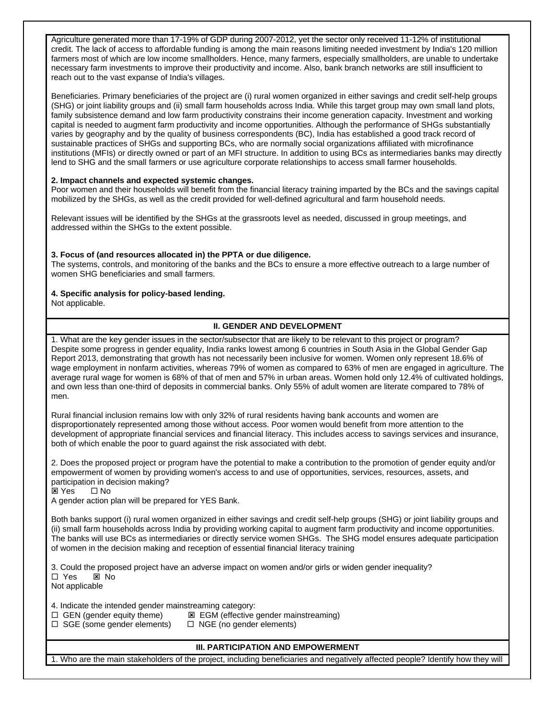Agriculture generated more than 17-19% of GDP during 2007-2012, yet the sector only received 11-12% of institutional credit. The lack of access to affordable funding is among the main reasons limiting needed investment by India's 120 million farmers most of which are low income smallholders. Hence, many farmers, especially smallholders, are unable to undertake necessary farm investments to improve their productivity and income. Also, bank branch networks are still insufficient to reach out to the vast expanse of India's villages.

Beneficiaries. Primary beneficiaries of the project are (i) rural women organized in either savings and credit self-help groups (SHG) or joint liability groups and (ii) small farm households across India. While this target group may own small land plots, family subsistence demand and low farm productivity constrains their income generation capacity. Investment and working capital is needed to augment farm productivity and income opportunities. Although the performance of SHGs substantially varies by geography and by the quality of business correspondents (BC), India has established a good track record of sustainable practices of SHGs and supporting BCs, who are normally social organizations affiliated with microfinance institutions (MFIs) or directly owned or part of an MFI structure. In addition to using BCs as intermediaries banks may directly lend to SHG and the small farmers or use agriculture corporate relationships to access small farmer households.

### **2. Impact channels and expected systemic changes.**

Poor women and their households will benefit from the financial literacy training imparted by the BCs and the savings capital mobilized by the SHGs, as well as the credit provided for well-defined agricultural and farm household needs.

Relevant issues will be identified by the SHGs at the grassroots level as needed, discussed in group meetings, and addressed within the SHGs to the extent possible.

#### **3. Focus of (and resources allocated in) the PPTA or due diligence.**

The systems, controls, and monitoring of the banks and the BCs to ensure a more effective outreach to a large number of women SHG beneficiaries and small farmers.

#### **4. Specific analysis for policy-based lending.**

Not applicable.

### **II. GENDER AND DEVELOPMENT**

1. What are the key gender issues in the sector/subsector that are likely to be relevant to this project or program? Despite some progress in gender equality, India ranks lowest among 6 countries in South Asia in the Global Gender Gap Report 2013, demonstrating that growth has not necessarily been inclusive for women. Women only represent 18.6% of wage employment in nonfarm activities, whereas 79% of women as compared to 63% of men are engaged in agriculture. The average rural wage for women is 68% of that of men and 57% in urban areas. Women hold only 12.4% of cultivated holdings, and own less than one-third of deposits in commercial banks. Only 55% of adult women are literate compared to 78% of men.

Rural financial inclusion remains low with only 32% of rural residents having bank accounts and women are disproportionately represented among those without access. Poor women would benefit from more attention to the development of appropriate financial services and financial literacy. This includes access to savings services and insurance, both of which enable the poor to guard against the risk associated with debt.

2. Does the proposed project or program have the potential to make a contribution to the promotion of gender equity and/or empowerment of women by providing women's access to and use of opportunities, services, resources, assets, and participation in decision making?

**⊠ Yes** □ No

A gender action plan will be prepared for YES Bank.

Both banks support (i) rural women organized in either savings and credit self-help groups (SHG) or joint liability groups and (ii) small farm households across India by providing working capital to augment farm productivity and income opportunities. The banks will use BCs as intermediaries or directly service women SHGs. The SHG model ensures adequate participation of women in the decision making and reception of essential financial literacy training

3. Could the proposed project have an adverse impact on women and/or girls or widen gender inequality?

□ Yes ⊠ No Not applicable

4. Indicate the intended gender mainstreaming category:

- $\square$  GEN (gender equity theme)  $\square$  EGM (effective gender mainstreaming)
- $\square$  SGE (some gender elements)  $\square$  NGE (no gender elements)

### **III. PARTICIPATION AND EMPOWERMENT**

1. Who are the main stakeholders of the project, including beneficiaries and negatively affected people? Identify how they will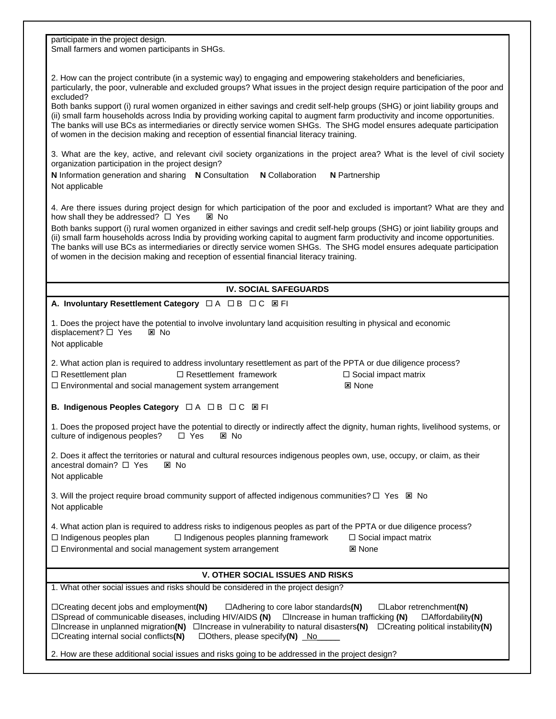participate in the project design.

Small farmers and women participants in SHGs.

2. How can the project contribute (in a systemic way) to engaging and empowering stakeholders and beneficiaries, particularly, the poor, vulnerable and excluded groups? What issues in the project design require participation of the poor and excluded?

Both banks support (i) rural women organized in either savings and credit self-help groups (SHG) or joint liability groups and (ii) small farm households across India by providing working capital to augment farm productivity and income opportunities. The banks will use BCs as intermediaries or directly service women SHGs. The SHG model ensures adequate participation of women in the decision making and reception of essential financial literacy training.

3. What are the key, active, and relevant civil society organizations in the project area? What is the level of civil society organization participation in the project design?

**N** Information generation and sharing **N** Consultation **N** Collaboration **N** Partnership Not applicable

4. Are there issues during project design for which participation of the poor and excluded is important? What are they and how shall they be addressed?  $\Box$  Yes  $\boxtimes$  No

Both banks support (i) rural women organized in either savings and credit self-help groups (SHG) or joint liability groups and (ii) small farm households across India by providing working capital to augment farm productivity and income opportunities. The banks will use BCs as intermediaries or directly service women SHGs. The SHG model ensures adequate participation of women in the decision making and reception of essential financial literacy training.

# **IV. SOCIAL SAFEGUARDS**

**A. Involuntary Resettlement Category** □ A □ B □ C 図 FI

2. What action plan is required to address involuntary resettlement as part of the PPTA or due diligence process?  $\square$  Resettlement plan  $\square$  Resettlement framework  $\square$  Social impact matrix

 $\square$  Environmental and social management system arrangement  $\square$  None

**B. Indigenous Peoples Category** □ A □ B □ C **Ø FI** 

1. Does the proposed project have the potential to directly or indirectly affect the dignity, human rights, livelihood systems, or culture of indigenous peoples?  $\Box$  Yes  $\boxtimes$  No

2. Does it affect the territories or natural and cultural resources indigenous peoples own, use, occupy, or claim, as their ancestral domain?  $\Box$  Yes  $\boxtimes$  No Not applicable

3. Will the project require broad community support of affected indigenous communities?  $\Box$  Yes  $\boxtimes$  No Not applicable

4. What action plan is required to address risks to indigenous peoples as part of the PPTA or due diligence process?

- $\square$  Indigenous peoples plan  $\square$  Indigenous peoples planning framework  $\square$  Social impact matrix
- $\square$  Environmental and social management system arrangement  $\square$  None

# **V. OTHER SOCIAL ISSUES AND RISKS**

1. What other social issues and risks should be considered in the project design?

¨Creating decent jobs and employment**(N)** ¨Adhering to core labor standards**(N)** ¨Labor retrenchment**(N)** ¨Spread of communicable diseases, including HIV/AIDS **(N)** ¨Increase in human trafficking **(N)** ¨Affordability**(N)** ¨Increase in unplanned migration**(N)** ¨Increase in vulnerability to natural disasters**(N)** ¨Creating political instability**(N)** ¨Creating internal social conflicts**(N)** ¨Others, please specify**(N)** \_No\_\_\_\_\_

2. How are these additional social issues and risks going to be addressed in the project design?